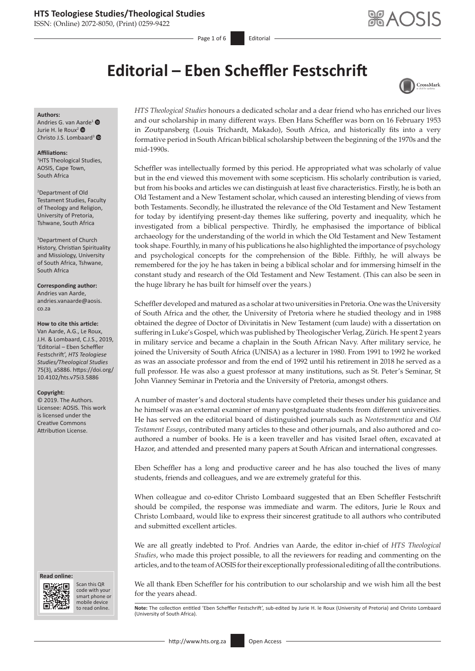ISSN: (Online) 2072-8050, (Print) 0259-9422

Page 1 of 6 Editorial

# **Editorial – Eben Scheffler Festschrift**



#### **Authors:** Andries G. van [Aard](https://orcid.org/0000-0001-9645-9753)e[1](https://orcid.org/0000-0002-3998-2190)

Jurie H. le Roux<sup>2</sup> <sup>®</sup> Christo J.S. Lombaard<sup>[3](https://orcid.org/0000-0003-0019-4717)</sup>

#### **Affiliations:**

1 HTS Theological Studies, AOSIS, Cape Town, South Africa

2 Department of Old Testament Studies, Faculty of Theology and Religion, University of Pretoria, Tshwane, South Africa

3 Department of Church History, Christian Spirituality and Missiology, University of South Africa, Tshwane, South Africa

**Corresponding author:** Andries van Aarde, [andries.vanaarde@aosis.](mailto:andries.vanaarde@aosis.co.za) [co.za](mailto:andries.vanaarde@aosis.co.za)

#### **How to cite this article:**

Van Aarde, A.G., Le Roux, J.H. & Lombaard, C.J.S., 2019, 'Editorial – Eben Scheffler Festschrift', *HTS Teologiese Studies/Theological Studies* 75(3), a5886. [https://doi.org/](https://doi.org/10.4102/hts.v75i3.5886) [10.4102/hts.v75i3.5886](https://doi.org/10.4102/hts.v75i3.5886)

#### **Copyright:**

© 2019. The Authors. Licensee: AOSIS. This work is licensed under the Creative Commons Attribution License.

#### **Read online: Read online:**



Scan this QR code with your Scan this QR<br>code with your<br>smart phone or<br>mobile device mobile device to read online.

*HTS Theological Studies* honours a dedicated scholar and a dear friend who has enriched our lives and our scholarship in many different ways. Eben Hans Scheffler was born on 16 February 1953 in Zoutpansberg (Louis Trichardt, Makado), South Africa, and historically fits into a very formative period in South African biblical scholarship between the beginning of the 1970s and the mid-1990s.

Scheffler was intellectually formed by this period. He appropriated what was scholarly of value but in the end viewed this movement with some scepticism. His scholarly contribution is varied, but from his books and articles we can distinguish at least five characteristics. Firstly, he is both an Old Testament and a New Testament scholar, which caused an interesting blending of views from both Testaments. Secondly, he illustrated the relevance of the Old Testament and New Testament for today by identifying present-day themes like suffering, poverty and inequality, which he investigated from a biblical perspective. Thirdly, he emphasised the importance of biblical archaeology for the understanding of the world in which the Old Testament and New Testament took shape. Fourthly, in many of his publications he also highlighted the importance of psychology and psychological concepts for the comprehension of the Bible. Fifthly, he will always be remembered for the joy he has taken in being a biblical scholar and for immersing himself in the constant study and research of the Old Testament and New Testament. (This can also be seen in the huge library he has built for himself over the years.)

Scheffler developed and matured as a scholar at two universities in Pretoria. One was the University of South Africa and the other, the University of Pretoria where he studied theology and in 1988 obtained the degree of Doctor of Divinitatis in New Testament (cum laude) with a dissertation on suffering in Luke's Gospel, which was published by Theologischer Verlag, Zürich. He spent 2 years in military service and became a chaplain in the South African Navy. After military service, he joined the University of South Africa (UNISA) as a lecturer in 1980. From 1991 to 1992 he worked as was an associate professor and from the end of 1992 until his retirement in 2018 he served as a full professor. He was also a guest professor at many institutions, such as St. Peter's Seminar, St John Vianney Seminar in Pretoria and the University of Pretoria, amongst others.

A number of master's and doctoral students have completed their theses under his guidance and he himself was an external examiner of many postgraduate students from different universities. He has served on the editorial board of distinguished journals such as *Neotestamentica* and *Old Testament Essays*, contributed many articles to these and other journals, and also authored and coauthored a number of books. He is a keen traveller and has visited Israel often, excavated at Hazor, and attended and presented many papers at South African and international congresses.

Eben Scheffler has a long and productive career and he has also touched the lives of many students, friends and colleagues, and we are extremely grateful for this.

When colleague and co-editor Christo Lombaard suggested that an Eben Scheffler Festschrift should be compiled, the response was immediate and warm. The editors, Jurie le Roux and Christo Lombaard, would like to express their sincerest gratitude to all authors who contributed and submitted excellent articles.

We are all greatly indebted to Prof. Andries van Aarde, the editor in-chief of *HTS Theological Studies*, who made this project possible, to all the reviewers for reading and commenting on the articles, and to the team of AOSIS for their exceptionally professional editing of all the contributions.

We all thank Eben Scheffler for his contribution to our scholarship and we wish him all the best for the years ahead.

Note: The collection entitled 'Eben Scheffler Festschrift', sub-edited by Jurie H. le Roux (University of Pretoria) and Christo Lombaard (University of South Africa).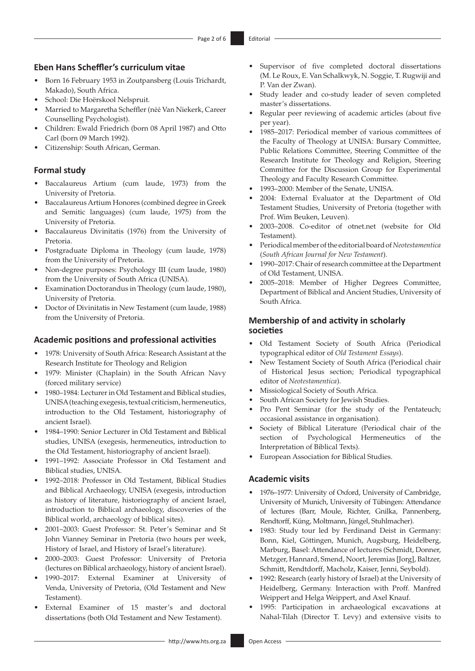## **Eben Hans Scheffler's curriculum vitae**

- Born 16 February 1953 in Zoutpansberg (Louis Trichardt, Makado), South Africa.
- School: Die Hoërskool Nelspruit.
- Married to Margaretha Scheffler (nѐѐ Van Niekerk, Career Counselling Psychologist).
- Children: Ewald Friedrich (born 08 April 1987) and Otto Carl (born 09 March 1992).
- Citizenship: South African, German.

## **Formal study**

- Baccalaureus Artium (cum laude, 1973) from the University of Pretoria.
- Baccalaureus Artium Honores (combined degree in Greek and Semitic languages) (cum laude, 1975) from the University of Pretoria.
- Baccalaureus Divinitatis (1976) from the University of Pretoria.
- Postgraduate Diploma in Theology (cum laude, 1978) from the University of Pretoria.
- Non-degree purposes: Psychology III (cum laude, 1980) from the University of South Africa (UNISA).
- Examination Doctorandus in Theology (cum laude, 1980), University of Pretoria.
- Doctor of Divinitatis in New Testament (cum laude, 1988) from the University of Pretoria.

#### **Academic positions and professional activities**

- 1978: University of South Africa: Research Assistant at the Research Institute for Theology and Religion
- 1979: Minister (Chaplain) in the South African Navy (forced military service)
- 1980–1984: Lecturer in Old Testament and Biblical studies, UNISA (teaching exegesis, textual criticism, hermeneutics, introduction to the Old Testament, historiography of ancient Israel).
- 1984–1990: Senior Lecturer in Old Testament and Biblical studies, UNISA (exegesis, hermeneutics, introduction to the Old Testament, historiography of ancient Israel).
- 1991–1992: Associate Professor in Old Testament and Biblical studies, UNISA.
- 1992–2018: Professor in Old Testament, Biblical Studies and Biblical Archaeology, UNISA (exegesis, introduction as history of literature, historiography of ancient Israel, introduction to Biblical archaeology, discoveries of the Biblical world, archaeology of biblical sites).
- 2001–2003: Guest Professor: St. Peter's Seminar and St John Vianney Seminar in Pretoria (two hours per week, History of Israel, and History of Israel's literature).
- 2000–2003: Guest Professor: University of Pretoria (lectures on Biblical archaeology, history of ancient Israel).
- 1990–2017: External Examiner at University of Venda, University of Pretoria, (Old Testament and New Testament).
- External Examiner of 15 master's and doctoral dissertations (both Old Testament and New Testament).
- Supervisor of five completed doctoral dissertations (M. Le Roux, E. Van Schalkwyk, N. Soggie, T. Rugwiji and P. Van der Zwan).
- Study leader and co-study leader of seven completed master's dissertations.
- Regular peer reviewing of academic articles (about five per year).
- 1985–2017: Periodical member of various committees of the Faculty of Theology at UNISA: Bursary Committee, Public Relations Committee, Steering Committee of the Research Institute for Theology and Religion, Steering Committee for the Discussion Group for Experimental Theology and Faculty Research Committee.
- 1993–2000: Member of the Senate, UNISA.
- 2004: External Evaluator at the Department of Old Testament Studies, University of Pretoria (together with Prof. Wim Beuken, Leuven).
- 2003–2008. Co-editor of [otnet.net](http://otnet.net) (website for Old Testament).
- Periodical member of the editorial board of *Neotestamentica*  (*South African Journal for New Testament*).
- 1990–2017: Chair of research committee at the Department of Old Testament, UNISA.
- 2005–2018: Member of Higher Degrees Committee, Department of Biblical and Ancient Studies, University of South Africa.

## **Membership of and activity in scholarly societies**

- Old Testament Society of South Africa (Periodical typographical editor of *Old Testament Essays*).
- New Testament Society of South Africa (Periodical chair of Historical Jesus section; Periodical typographical editor of *Neotestamentica*).
- Missiological Society of South Africa.
- South African Society for Jewish Studies.
- Pro Pent Seminar (for the study of the Pentateuch; occasional assistance in organisation).
- Society of Biblical Literature (Periodical chair of the section of Psychological Hermeneutics of the Interpretation of Biblical Texts).
- European Association for Biblical Studies.

## **Academic visits**

- 1976–1977: University of Oxford, University of Cambridge, University of Munich, University of Tübingen: Attendance of lectures (Barr, Moule, Richter, Gnilka, Pannenberg, Rendtorff, Küng, Moltmann, Jüngel, Stuhlmacher).
- 1983: Study tour led by Ferdinand Deist in Germany: Bonn, Kiel, Göttingen, Munich, Augsburg, Heidelberg, Marburg, Basel: Attendance of lectures (Schmidt, Donner, Metzger, Hannard, Smend, Noort, Jeremias [Jorg], Baltzer, Schmitt, Rendtdorff, Macholz, Kaiser, Jenni, Seybold).
- 1992: Research (early history of Israel) at the University of Heidelberg, Germany. Interaction with Proff. Manfred Weippert and Helga Weippert, and Axel Knauf.
- 1995: Participation in archaeological excavations at Nahal-Tilah (Director T. Levy) and extensive visits to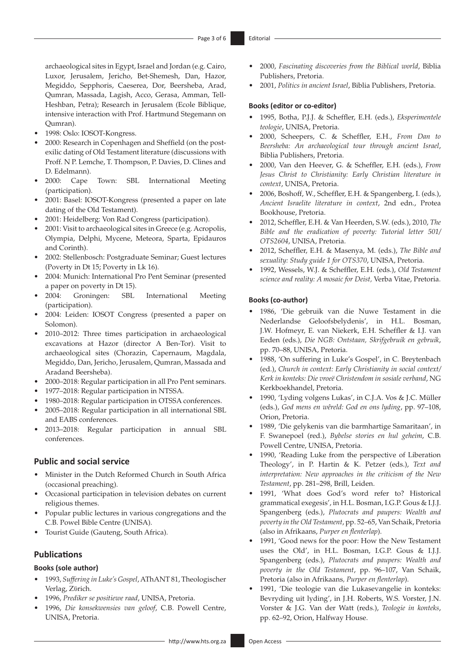archaeological sites in Egypt, Israel and Jordan (e.g. Cairo, Luxor, Jerusalem, Jericho, Bet-Shemesh, Dan, Hazor, Megiddo, Sepphoris, Caeserea, Dor, Beersheba, Arad, Qumran, Massada, Lagish, Acco, Gerasa, Amman, Tell-Heshban, Petra); Research in Jerusalem (Ecole Biblique, intensive interaction with Prof. Hartmund Stegemann on Qumran).

- 1998: Oslo: IOSOT-Kongress.
- 2000: Research in Copenhagen and Sheffield (on the postexilic dating of Old Testament literature (discussions with Proff. N P. Lemche, T. Thompson, P. Davies, D. Clines and D. Edelmann).
- 2000: Cape Town: SBL International Meeting (participation).
- 2001: Basel: IOSOT-Kongress (presented a paper on late dating of the Old Testament).
- 2001: Heidelberg: Von Rad Congress (participation).
- 2001: Visit to archaeological sites in Greece (e.g. Acropolis, Olympia, Delphi, Mycene, Meteora, Sparta, Epidauros and Corinth).
- 2002: Stellenbosch: Postgraduate Seminar; Guest lectures (Poverty in Dt 15; Poverty in Lk 16).
- 2004: Munich: International Pro Pent Seminar (presented a paper on poverty in Dt 15).
- 2004: Groningen: SBL International Meeting (participation).
- 2004: Leiden: IOSOT Congress (presented a paper on Solomon).
- 2010–2012: Three times participation in archaeological excavations at Hazor (director A Ben-Tor). Visit to archaeological sites (Chorazin, Capernaum, Magdala, Megiddo, Dan, Jericho, Jerusalem, Qumran, Massada and Aradand Beersheba).
- 2000–2018: Regular participation in all Pro Pent seminars.
- 1977–2018: Regular participation in NTSSA.
- 1980–2018: Regular participation in OTSSA conferences.
- 2005–2018: Regular participation in all international SBL and EABS conferences.
- 2013–2018: Regular participation in annual SBL conferences.

## **Public and social service**

- Minister in the Dutch Reformed Church in South Africa (occasional preaching).
- Occasional participation in television debates on current religious themes.
- Popular public lectures in various congregations and the C.B. Powel Bible Centre (UNISA).
- Tourist Guide (Gauteng, South Africa).

## **Publications**

#### **Books (sole author)**

- 1993, *Suffering in Luke's Gospel*, AThANT 81, Theologischer Verlag, Zϋrich.
- 1996, *Prediker se positiewe raad*, UNISA, Pretoria.
- 1996, *Die konsekwensies van geloof*, C.B. Powell Centre, UNISA, Pretoria.
- 2000, *Fascinating discoveries from the Biblical world*, Biblia Publishers, Pretoria.
- 2001, *Politics in ancient Israel*, Biblia Publishers, Pretoria.

#### **Books (editor or co-editor)**

- 1995, Botha, P.J.J. & Scheffler, E.H. (eds.), *Eksperimentele teologie*, UNISA, Pretoria.
- 2000, Scheepers, C. & Scheffler, E.H., *From Dan to Beersheba: An archaeological tour through ancient Israel*, Biblia Publishers, Pretoria.
- 2000, Van den Heever, G. & Scheffler, E.H. (eds.), *From Jesus Christ to Christianity: Early Christian literature in context*, UNISA, Pretoria.
- 2006, Boshoff, W., Scheffler, E.H. & Spangenberg, I. (eds.), *Ancient Israelite literature in context*, 2nd edn., Protea Bookhouse, Pretoria.
- 2012, Scheffler, E.H. & Van Heerden, S.W. (eds.), 2010, *The Bible and the eradication of poverty: Tutorial letter 501/ OTS2604*, UNISA, Pretoria.
- 2012, Scheffler, E.H. & Masenya, M. (eds.), *The Bible and sexuality: Study guide 1 for OTS370*, UNISA, Pretoria.
- 1992, Wessels, W.J. & Scheffler, E.H. (eds.), *Old Testament science and reality: A mosaic for Deist,* Verba Vitae, Pretoria.

#### **Books (co-author)**

- 1986, 'Die gebruik van die Nuwe Testament in die Nederlandse Geloofsbelydenis', in H.L. Bosman, J.W. Hofmeyr, E. van Niekerk, E.H. Scheffler & I.J. van Eeden (eds.), *Die NGB: Ontstaan, Skrifgebruik en gebruik*, pp. 70–88, UNISA, Pretoria.
- 1988, 'On suffering in Luke's Gospel', in C. Breytenbach (ed.), *Church in context: Early Christianity in social context/ Kerk in konteks: Die vroeë Christendom in sosiale verband*, NG Kerkboekhandel, Pretoria.
- 1990, 'Lyding volgens Lukas', in C.J.A. Vos & J.C. Müller (eds.), *God mens en wêreld: God en ons lyding*, pp. 97–108, Orion, Pretoria.
- 1989, 'Die gelykenis van die barmhartige Samaritaan', in F. Swanepoel (red.), *Bybelse stories en hul geheim*, C.B. Powell Centre, UNISA, Pretoria.
- 1990, 'Reading Luke from the perspective of Liberation Theology', in P. Hartin & K. Petzer (eds.), *Text and interpretation: New approaches in the criticism of the New Testament*, pp. 281–298, Brill, Leiden.
- 1991, 'What does God's word refer to? Historical grammatical exegesis', in H.L. Bosman, I.G.P. Gous & I.J.J. Spangenberg (eds.), *Plutocrats and paupers: Wealth and poverty in the Old Testament*, pp. 52–65, Van Schaik, Pretoria (also in Afrikaans, *Purper en flenterlap*).
- 1991, 'Good news for the poor: How the New Testament uses the Old', in H.L. Bosman, I.G.P. Gous & I.J.J. Spangenberg (eds.), *Plutocrats and paupers: Wealth and poverty in the Old Testament*, pp. 96–107, Van Schaik, Pretoria (also in Afrikaans*, Purper en flenterlap*).
- 1991, 'Die teologie van die Lukasevangelie in konteks: Bevryding uit lyding', in J.H. Roberts, W.S. Vorster, J.N. Vorster & J.G. Van der Watt (reds.), *Teologie in konteks*, pp. 62–92, Orion, Halfway House.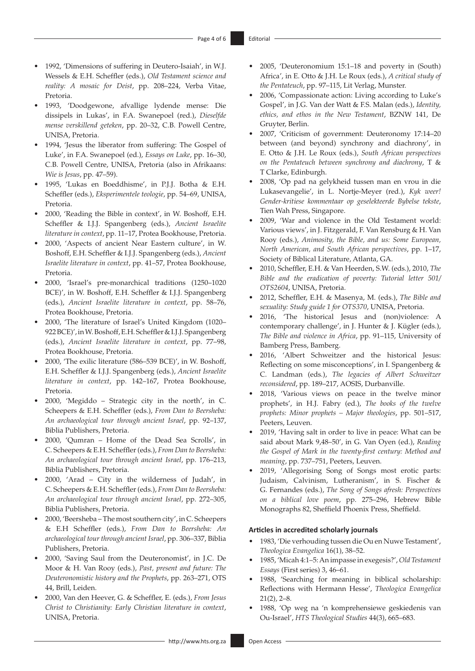- 1992, 'Dimensions of suffering in Deutero-Isaiah', in W.J. Wessels & E.H. Scheffler (eds.), *Old Testament science and reality: A mosaic for Deist*, pp. 208–224, Verba Vitae, Pretoria.
- 1993, 'Doodgewone, afvallige lydende mense: Die dissipels in Lukas', in F.A. Swanepoel (red.), *Dieselfde mense verskillend geteken*, pp. 20–32, C.B. Powell Centre, UNISA, Pretoria.
- 1994, 'Jesus the liberator from suffering: The Gospel of Luke', in F.A. Swanepoel (ed.), *Essays on Luke*, pp. 16–30, C.B. Powell Centre, UNISA, Pretoria (also in Afrikaans: *Wie is Jesus*, pp. 47–59).
- 1995, 'Lukas en Boeddhisme', in P.J.J. Botha & E.H. Scheffler (eds.), *Eksperimentele teologie*, pp. 54–69, UNISA, Pretoria.
- 2000, 'Reading the Bible in context', in W. Boshoff, E.H. Scheffler & I.J.J. Spangenberg (eds.), *Ancient Israelite literature in context*, pp. 11–17, Protea Bookhouse, Pretoria.
- 2000, 'Aspects of ancient Near Eastern culture', in W. Boshoff, E.H. Scheffler & I.J.J. Spangenberg (eds.), *Ancient Israelite literature in context*, pp. 41–57, Protea Bookhouse, Pretoria.
- 2000, 'Israel's pre-monarchical traditions (1250–1020 BCE)', in W. Boshoff, E.H. Scheffler & I.J.J. Spangenberg (eds.), *Ancient Israelite literature in context*, pp. 58–76, Protea Bookhouse, Pretoria.
- 2000, 'The literature of Israel's United Kingdom (1020– 922 BCE)', in W. Boshoff, E.H. Scheffler & I.J.J. Spangenberg (eds.), *Ancient Israelite literature in context*, pp. 77–98, Protea Bookhouse, Pretoria.
- 2000, 'The exilic literature (586–539 BCE)', in W. Boshoff, E.H. Scheffler & I.J.J. Spangenberg (eds.), *Ancient Israelite literature in context*, pp. 142–167, Protea Bookhouse, Pretoria.
- 2000, 'Megiddo Strategic city in the north', in C. Scheepers & E.H. Scheffler (eds.), *From Dan to Beersheba: An archaeological tour through ancient Israel*, pp. 92–137, Biblia Publishers, Pretoria.
- 2000, 'Qumran Home of the Dead Sea Scrolls', in C. Scheepers & E.H. Scheffler (eds.), *From Dan to Beersheba: An archaeological tour through ancient Israel*, pp. 176–213, Biblia Publishers, Pretoria.
- 2000, 'Arad City in the wilderness of Judah', in C. Scheepers & E.H. Scheffler (eds.), *From Dan to Beersheba: An archaeological tour through ancient Israel*, pp. 272–305, Biblia Publishers, Pretoria.
- 2000, 'Beersheba The most southern city', in C. Scheepers & E.H Scheffler (eds.), *From Dan to Beersheba: An archaeological tour through ancient Israel*, pp. 306–337, Biblia Publishers, Pretoria.
- 2000, 'Saving Saul from the Deuteronomist', in J.C. De Moor & H. Van Rooy (eds.), *Past, present and future: The Deuteronomistic history and the Prophets*, pp. 263–271, OTS 44, Brill, Leiden.
- 2000, Van den Heever, G. & Scheffler, E. (eds.), *From Jesus Christ to Christianity: Early Christian literature in context*, UNISA, Pretoria.
- 2005, 'Deuteronomium 15:1–18 and poverty in (South) Africa', in E. Otto & J.H. Le Roux (eds.), *A critical study of the Pentateuch*, pp. 97–115, Lit Verlag, Munster.
- 2006, 'Compassionate action: Living according to Luke's Gospel', in J.G. Van der Watt & F.S. Malan (eds.), *Identity, ethics, and ethos in the New Testament*, BZNW 141, De Gruyter, Berlin.
- 2007, 'Criticism of government: Deuteronomy 17:14–20 between (and beyond) synchrony and diachrony', in E. Otto & J.H. Le Roux (eds.), *South African perspectives on the Pentateuch between synchrony and diachrony*, T & T Clarke, Edinburgh.
- 2008, 'Op pad na gelykheid tussen man en vrou in die Lukasevangelie', in L. Nortje-Meyer (red.), *Kyk weer! Gender-kritiese kommentaar op geselekteerde Bybelse tekste*, Tien Wah Press, Singapore.
- 2009, 'War and violence in the Old Testament world: Various views', in J. Fitzgerald, F. Van Rensburg & H. Van Rooy (eds.), *Animosity, the Bible, and us: Some European, North American, and South African perspectives*, pp. 1–17, Society of Biblical Literature, Atlanta, GA.
- 2010, Scheffler, E.H. & Van Heerden, S.W. (eds.), 2010, *The Bible and the eradication of poverty: Tutorial letter 501/ OTS2604*, UNISA, Pretoria.
- 2012, Scheffler, E.H. & Masenya, M. (eds.), *The Bible and sexuality: Study guide 1 for OTS370*, UNISA, Pretoria.
- 2016, 'The historical Jesus and (non)violence: A contemporary challenge', in J. Hunter & J. Kügler (eds.), *The Bible and violence in Africa*, pp. 91–115, University of Bamberg Press, Bamberg.
- 2016, 'Albert Schweitzer and the historical Jesus: Reflecting on some misconceptions', in I. Spangenberg & C. Landman (eds*.*), *The legacies of Albert Schweitzer reconsidered*, pp. 189–217, AOSIS, Durbanville.
- 2018, 'Various views on peace in the twelve minor prophets', in H.J. Fabry (ed.), *The books of the twelve prophets: Minor prophets – Major theologies*, pp. 501–517, Peeters, Leuven.
- 2019, 'Having salt in order to live in peace: What can be said about Mark 9,48–50', in G. Van Oyen (ed.), *Reading the Gospel of Mark in the twenty-first century: Method and meaning*, pp. 737–751, Peeters, Leuven.
- 2019, 'Allegorising Song of Songs most erotic parts: Judaism, Calvinism, Lutheranism', in S. Fischer & G. Fernandes (eds.), *The Song of Songs afresh: Perspectives on a biblical love poem*, pp. 275–296, Hebrew Bible Monographs 82, Sheffield Phoenix Press, Sheffield.

#### **Articles in accredited scholarly journals**

- 1983, 'Die verhouding tussen die Ou en Nuwe Testament', *Theologica Evangelica* 16(1), 38–52.
- 1985, 'Micah 4:1–5: An impasse in exegesis?', *Old Testament Essays* (First series) 3, 46–61.
- 1988, 'Searching for meaning in biblical scholarship: Reflections with Hermann Hesse', *Theologica Evangelica*  21(2), 2–8.
- 1988, 'Op weg na 'n komprehensiewe geskiedenis van Ou-Israel', *HTS Theological Studies* 44(3), 665–683.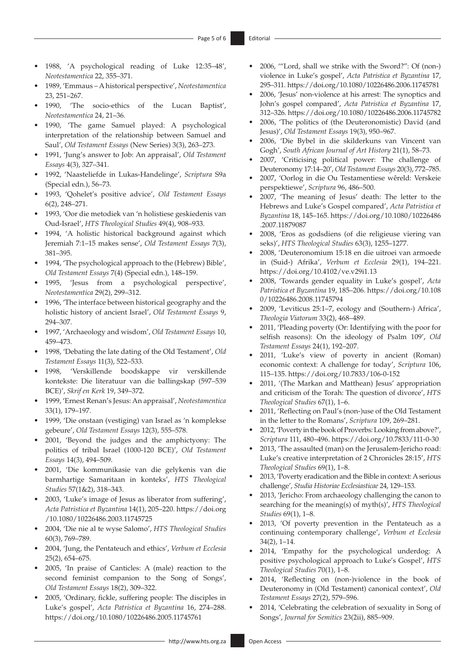- 1988, 'A psychological reading of Luke 12:35–48', *Neotestamentica* 22, 355–371.
- 1989, 'Emmaus A historical perspective', *Neotestamentica* 23, 251–267.
- 1990, 'The socio-ethics of the Lucan Baptist', *Neotestamentica* 24, 21–36.
- 1990, 'The game Samuel played: A psychological interpretation of the relationship between Samuel and Saul', *Old Testament Essays* (New Series) 3(3), 263–273.
- 1991, 'Jung's answer to Job: An appraisal', *Old Testament Essays* 4(3), 327–341.
- 1992, 'Naasteliefde in Lukas-Handelinge', *Scriptura* S9a (Special edn.), 56–73.
- 1993, 'Qohelet's positive advice', *Old Testament Essays* 6(2), 248–271.
- 1993, 'Oor die metodiek van 'n holistiese geskiedenis van Oud-Israel', *HTS Theological Studies* 49(4), 908–933.
- 1994, 'A holistic historical background against which Jeremiah 7:1–15 makes sense', *Old Testament Essays* 7(3), 381–395.
- 1994, 'The psychological approach to the (Hebrew) Bible', *Old Testament Essays* 7(4) (Special edn.), 148–159.
- 1995, 'Jesus from a psychological perspective', *Neotestamentica* 29(2), 299–312.
- 1996, 'The interface between historical geography and the holistic history of ancient Israel', *Old Testament Essays* 9, 294–307.
- 1997, 'Archaeology and wisdom', *Old Testament Essays* 10, 459–473.
- 1998, 'Debating the late dating of the Old Testament', *Old Testament Essays* 11(3), 522–533.
- 1998, 'Verskillende boodskappe vir verskillende kontekste: Die literatuur van die ballingskap (597–539 BCE)', *Skrif en Kerk* 19, 349–372.
- 1999, 'Ernest Renan's Jesus: An appraisal', *Neotestamentica* 33(1), 179–197.
- 1999, 'Die onstaan (vestiging) van Israel as 'n komplekse gebeure', *Old Testament Essays* 12(3), 555–578.
- 2001, 'Beyond the judges and the amphictyony: The politics of tribal Israel (1000-120 BCE)', *Old Testament Essays* 14(3), 494–509.
- 2001, 'Die kommunikasie van die gelykenis van die barmhartige Samaritaan in konteks', *HTS Theological Studies* 57(1&2), 318–343.
- 2003, 'Luke's image of Jesus as liberator from suffering', *Acta Patristica et Byzantina* 14(1), 205–220. [https://doi.org](https://doi.org/10.1080/10226486.2003.11745725) [/10.1080/10226486.2003.11745725](https://doi.org/10.1080/10226486.2003.11745725)
- 2004, 'Die nie al te wyse Salomo', *HTS Theological Studies*  60(3), 769–789.
- 2004, 'Jung, the Pentateuch and ethics', *Verbum et Ecclesia*  25(2), 654–675.
- 2005, 'In praise of Canticles: A (male) reaction to the second feminist companion to the Song of Songs', *Old Testament Essays* 18(2), 309–322.
- 2005, 'Ordinary, fickle, suffering people: The disciples in Luke's gospel', *Acta Patristica et Byzantina* 16, 274–288. <https://doi.org/10.1080/10226486.2005.11745761>
- 2006, '"Lord, shall we strike with the Sword?": Of (non-) violence in Luke's gospel', *Acta Patristica et Byzantina* 17, 295–311.<https://doi.org/10.1080/10226486.2006.11745781>
- 2006, 'Jesus' non-violence at his arrest: The synoptics and John's gospel compared', *Acta Patristica et Byzantina* 17, 312–326.<https://doi.org/10.1080/10226486.2006.11745782>
- 2006, 'The politics of (the Deuteronomistic) David (and Jesus)', *Old Testament Essays* 19(3), 950–967.
- 2006, 'Die Bybel in die skilderkuns van Vincent van Gogh', *South African Journal of Art History* 21(1), 58–73.
- 2007, 'Criticising political power: The challenge of Deuteronomy 17:14–20', *Old Testament Essays* 20(3), 772–785.
- 2007, 'Oorlog in die Ou Testamentiese wêreld: Verskeie perspektiewe', *Scriptura* 96, 486–500.
- 2007, 'The meaning of Jesus' death: The letter to the Hebrews and Luke's Gospel compared', *Acta Patristica et Byzantina* 18, 145–165. [https://doi.org/10.1080/10226486](https://doi.org/10.1080/10226486.2007.11879087) [.2007.11879087](https://doi.org/10.1080/10226486.2007.11879087)
- 2008, 'Eros as godsdiens (of die religieuse viering van seks)', *HTS Theological Studies* 63(3), 1255–1277.
- 2008, 'Deuteronomium 15:18 en die uitroei van armoede in (Suid-) Afrika', *Verbum et Ecclesia* 29(1), 194–221. <https://doi.org/10.4102/ve.v29i1.13>
- 2008, 'Towards gender equality in Luke's gospel', *Acta Patristica et Byzantina* 19, 185–206. [https://doi.org/10.108](https://doi.org/10.1080/10226486.2008.11745794) [0/10226486.2008.11745794](https://doi.org/10.1080/10226486.2008.11745794)
- 2009, 'Leviticus 25:1–7, ecology and (Southern-) Africa', *Theologia Viatorum* 33(2), 468–489.
- 2011, 'Pleading poverty (Or: Identifying with the poor for selfish reasons): On the ideology of Psalm 109', *Old Testament Essays* 24(1), 192–207.
- 2011, 'Luke's view of poverty in ancient (Roman) economic context: A challenge for today', *Scriptura* 106, 115–135.<https://doi.org/10.7833/106-0-152>
- 2011, '(The Markan and Matthean) Jesus' appropriation and criticism of the Torah: The question of divorce', *HTS Theological Studies* 67(1), 1–6.
- 2011, 'Reflecting on Paul's (non-)use of the Old Testament in the letter to the Romans', *Scriptura* 109, 269–281.
- 2012, 'Poverty in the book of Proverbs: Looking from above?', *Scriptura* 111, 480–496. <https://doi.org/10.7833/111-0-30>
- 2013, 'The assaulted (man) on the Jerusalem-Jericho road: Luke's creative interpretation of 2 Chronicles 28:15', *HTS Theological Studies* 69(1), 1–8.
- 2013, 'Poverty eradication and the Bible in context: Aserious challenge', *Studia Historiae Ecclesiasticae* 24, 129–153.
- 2013, 'Jericho: From archaeology challenging the canon to searching for the meaning(s) of myth(s)', *HTS Theological Studies* 69(1), 1–8.
- 2013, 'Of poverty prevention in the Pentateuch as a continuing contemporary challenge', *Verbum et Ecclesia* 34(2), 1–14.
- 2014, 'Empathy for the psychological underdog: A positive psychological approach to Luke's Gospel', *HTS Theological Studies* 70(1), 1–8.
- 2014, 'Reflecting on (non-)violence in the book of Deuteronomy in (Old Testament) canonical context', *Old Testament Essays* 27(2), 579–596.
- 2014, 'Celebrating the celebration of sexuality in Song of Songs', *Journal for Semitics* 23(2ii), 885–909.